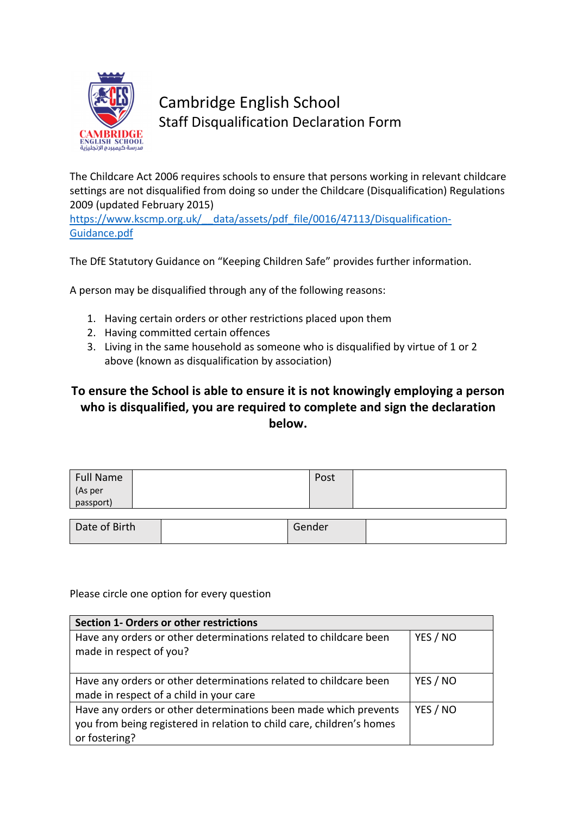

## Cambridge English School Staff Disqualification Declaration Form

The Childcare Act 2006 requires schools to ensure that persons working in relevant childcare settings are not disqualified from doing so under the Childcare (Disqualification) Regulations 2009 (updated February 2015)

https://www.kscmp.org.uk/ data/assets/pdf file/0016/47113/Disqualification-Guidance.pdf

The DfE Statutory Guidance on "Keeping Children Safe" provides further information.

A person may be disqualified through any of the following reasons:

- 1. Having certain orders or other restrictions placed upon them
- 2. Having committed certain offences
- 3. Living in the same household as someone who is disqualified by virtue of 1 or 2 above (known as disqualification by association)

## **To ensure the School is able to ensure it is not knowingly employing a person who is disqualified, you are required to complete and sign the declaration below.**

| Full Name            | Post |  |
|----------------------|------|--|
| (As per<br>passport) |      |  |
|                      |      |  |
|                      |      |  |

| Date of Birth | Gender |  |
|---------------|--------|--|
|               |        |  |

## Please circle one option for every question

| Section 1- Orders or other restrictions                                                                                                                    |          |
|------------------------------------------------------------------------------------------------------------------------------------------------------------|----------|
| Have any orders or other determinations related to childcare been<br>made in respect of you?                                                               | YES / NO |
| Have any orders or other determinations related to childcare been<br>made in respect of a child in your care                                               | YES / NO |
| Have any orders or other determinations been made which prevents<br>you from being registered in relation to child care, children's homes<br>or fostering? | YES / NO |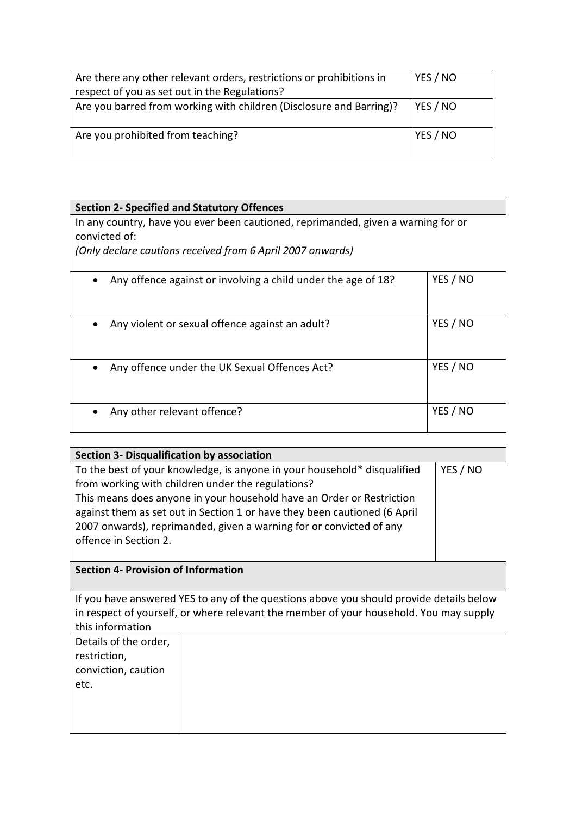| Are there any other relevant orders, restrictions or prohibitions in | YES / NO |
|----------------------------------------------------------------------|----------|
| respect of you as set out in the Regulations?                        |          |
| Are you barred from working with children (Disclosure and Barring)?  | YES / NO |
| Are you prohibited from teaching?                                    | YES / NO |

| <b>Section 2- Specified and Statutory Offences</b>                                                                                                               |          |
|------------------------------------------------------------------------------------------------------------------------------------------------------------------|----------|
| In any country, have you ever been cautioned, reprimanded, given a warning for or<br>convicted of:<br>(Only declare cautions received from 6 April 2007 onwards) |          |
| Any offence against or involving a child under the age of 18?                                                                                                    | YES / NO |
| Any violent or sexual offence against an adult?<br>$\bullet$                                                                                                     | YES / NO |
| Any offence under the UK Sexual Offences Act?                                                                                                                    | YES / NO |
| Any other relevant offence?                                                                                                                                      | YES / NO |

| Section 3- Disqualification by association                                                                                                                                                                                                                                                                                                                                                      |  |  |
|-------------------------------------------------------------------------------------------------------------------------------------------------------------------------------------------------------------------------------------------------------------------------------------------------------------------------------------------------------------------------------------------------|--|--|
| To the best of your knowledge, is anyone in your household* disqualified<br>YES / NO<br>from working with children under the regulations?<br>This means does anyone in your household have an Order or Restriction<br>against them as set out in Section 1 or have they been cautioned (6 April<br>2007 onwards), reprimanded, given a warning for or convicted of any<br>offence in Section 2. |  |  |
| <b>Section 4- Provision of Information</b>                                                                                                                                                                                                                                                                                                                                                      |  |  |
| If you have answered YES to any of the questions above you should provide details below<br>in respect of yourself, or where relevant the member of your household. You may supply<br>this information                                                                                                                                                                                           |  |  |
| Details of the order,<br>restriction,<br>conviction, caution<br>etc.                                                                                                                                                                                                                                                                                                                            |  |  |